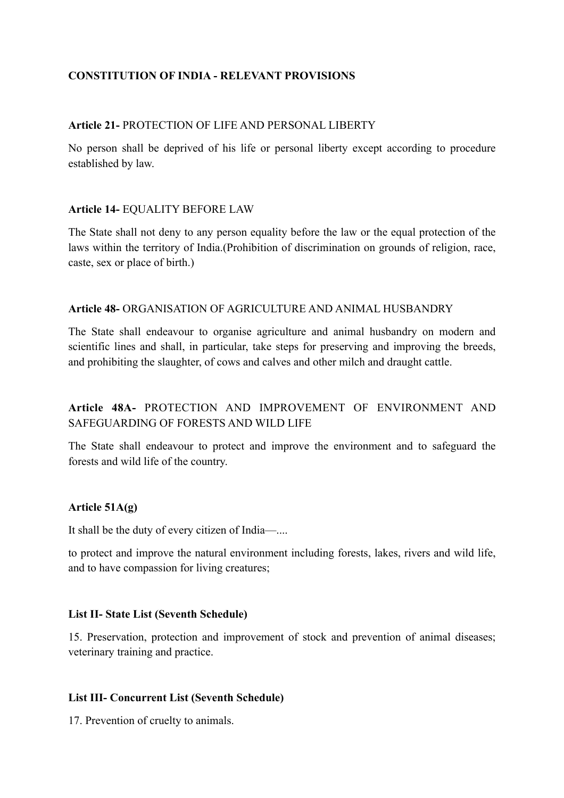# **CONSTITUTION OF INDIA - RELEVANT PROVISIONS**

## **Article 21-** PROTECTION OF LIFE AND PERSONAL LIBERTY

No person shall be deprived of his life or personal liberty except according to procedure established by law.

## **Article 14-** EQUALITY BEFORE LAW

The State shall not deny to any person equality before the law or the equal protection of the laws within the territory of India.(Prohibition of discrimination on grounds of religion, race, caste, sex or place of birth.)

## **Article 48-** ORGANISATION OF AGRICULTURE AND ANIMAL HUSBANDRY

The State shall endeavour to organise agriculture and animal husbandry on modern and scientific lines and shall, in particular, take steps for preserving and improving the breeds, and prohibiting the slaughter, of cows and calves and other milch and draught cattle.

# **Article 48A-** PROTECTION AND IMPROVEMENT OF ENVIRONMENT AND SAFEGUARDING OF FORESTS AND WILD LIFE

The State shall endeavour to protect and improve the environment and to safeguard the forests and wild life of the country.

## **Article 51A(g)**

It shall be the duty of every citizen of India—....

to protect and improve the natural environment including forests, lakes, rivers and wild life, and to have compassion for living creatures;

### **List II- State List (Seventh Schedule)**

15. Preservation, protection and improvement of stock and prevention of animal diseases; veterinary training and practice.

### **List III- Concurrent List (Seventh Schedule)**

17. Prevention of cruelty to animals.